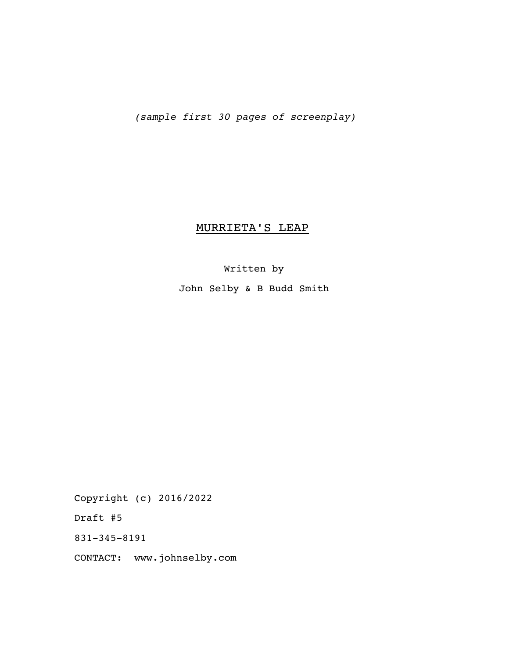*(sample first 30 pages of screenplay)*

# MURRIETA'S LEAP

# Written by

John Selby & B Budd Smith

Copyright (c) 2016/2022

Draft #5

831-345-8191

CONTACT: www.johnselby.com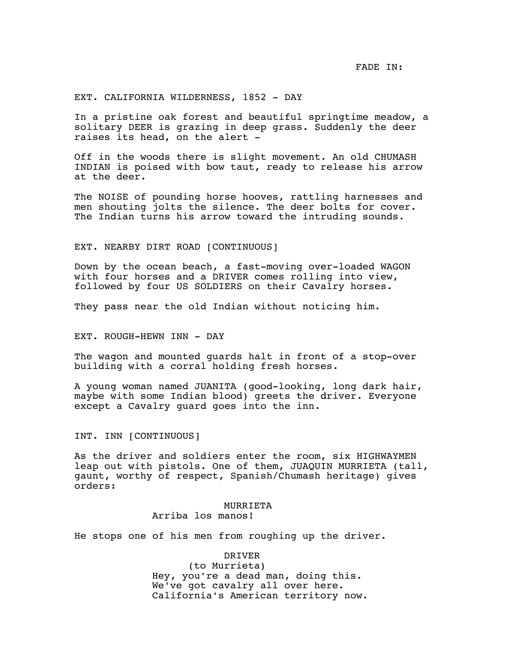## EXT. CALIFORNIA WILDERNESS, 1852 - DAY

In a pristine oak forest and beautiful springtime meadow, a solitary DEER is grazing in deep grass. Suddenly the deer raises its head, on the alert -

Off in the woods there is slight movement. An old CHUMASH INDIAN is poised with bow taut, ready to release his arrow at the deer.

The NOISE of pounding horse hooves, rattling harnesses and men shouting jolts the silence. The deer bolts for cover. The Indian turns his arrow toward the intruding sounds.

# EXT. NEARBY DIRT ROAD [CONTINUOUS]

Down by the ocean beach, a fast-moving over-loaded WAGON with four horses and a DRIVER comes rolling into view, followed by four US SOLDIERS on their Cavalry horses.

They pass near the old Indian without noticing him.

# EXT. ROUGH-HEWN INN - DAY

The wagon and mounted guards halt in front of a stop-over building with a corral holding fresh horses.

A young woman named JUANITA (good-looking, long dark hair, maybe with some Indian blood) greets the driver. Everyone except a Cavalry guard goes into the inn.

INT. INN [CONTINUOUS]

As the driver and soldiers enter the room, six HIGHWAYMEN leap out with pistols. One of them, JUAQUIN MURRIETA (tall, gaunt, worthy of respect, Spanish/Chumash heritage) gives orders:

# MURRIETA Arriba los manos!

He stops one of his men from roughing up the driver.

#### DRIVER

(to Murrieta) Hey, you're a dead man, doing this. We've got cavalry all over here. California's American territory now.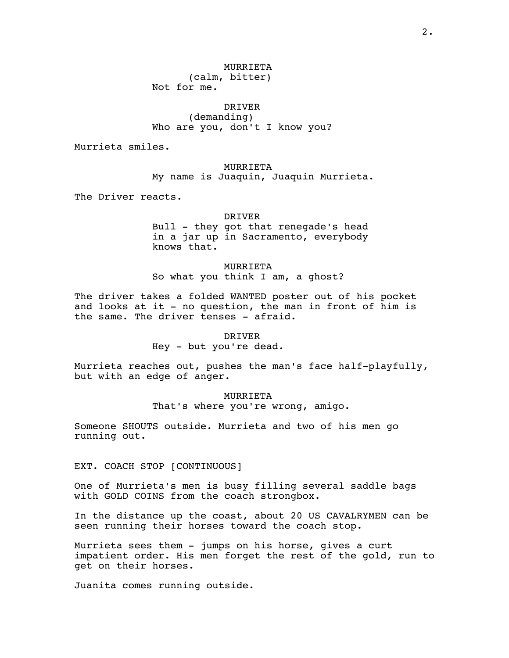MURRIETA (calm, bitter) Not for me.

DRIVER (demanding) Who are you, don't I know you?

Murrieta smiles.

MURRIETA My name is Juaquin, Juaquin Murrieta.

The Driver reacts.

DRIVER

Bull - they got that renegade's head in a jar up in Sacramento, everybody knows that.

MURRIETA So what you think I am, a ghost?

The driver takes a folded WANTED poster out of his pocket and looks at it - no question, the man in front of him is the same. The driver tenses - afraid.

DRIVER

Hey - but you're dead.

Murrieta reaches out, pushes the man's face half-playfully, but with an edge of anger.

MURRIETA

That's where you're wrong, amigo.

Someone SHOUTS outside. Murrieta and two of his men go running out.

EXT. COACH STOP [CONTINUOUS]

One of Murrieta's men is busy filling several saddle bags with GOLD COINS from the coach strongbox.

In the distance up the coast, about 20 US CAVALRYMEN can be seen running their horses toward the coach stop.

Murrieta sees them - jumps on his horse, gives a curt impatient order. His men forget the rest of the gold, run to get on their horses.

Juanita comes running outside.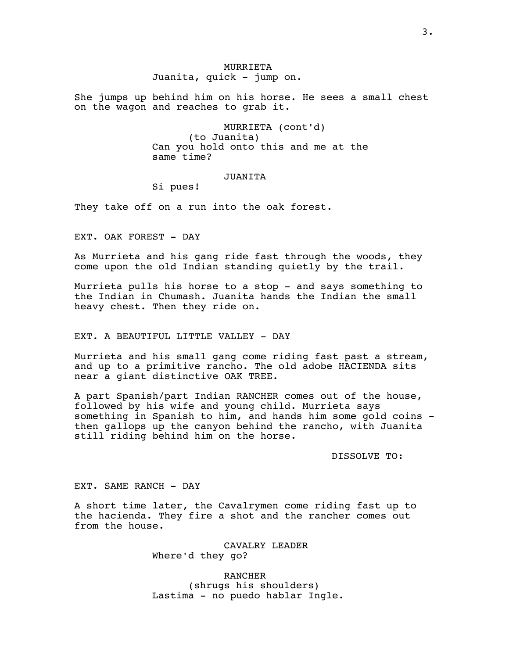# MURRIETA Juanita, quick - jump on.

She jumps up behind him on his horse. He sees a small chest on the wagon and reaches to grab it.

> MURRIETA (cont'd) (to Juanita) Can you hold onto this and me at the same time?

# JUANITA

Si pues!

They take off on a run into the oak forest.

EXT. OAK FOREST - DAY

As Murrieta and his gang ride fast through the woods, they come upon the old Indian standing quietly by the trail.

Murrieta pulls his horse to a stop - and says something to the Indian in Chumash. Juanita hands the Indian the small heavy chest. Then they ride on.

EXT. A BEAUTIFUL LITTLE VALLEY - DAY

Murrieta and his small gang come riding fast past a stream, and up to a primitive rancho. The old adobe HACIENDA sits near a giant distinctive OAK TREE.

A part Spanish/part Indian RANCHER comes out of the house, followed by his wife and young child. Murrieta says something in Spanish to him, and hands him some gold coins then gallops up the canyon behind the rancho, with Juanita still riding behind him on the horse.

DISSOLVE TO:

EXT. SAME RANCH - DAY

A short time later, the Cavalrymen come riding fast up to the hacienda. They fire a shot and the rancher comes out from the house.

> CAVALRY LEADER Where'd they go?

RANCHER (shrugs his shoulders) Lastima - no puedo hablar Ingle.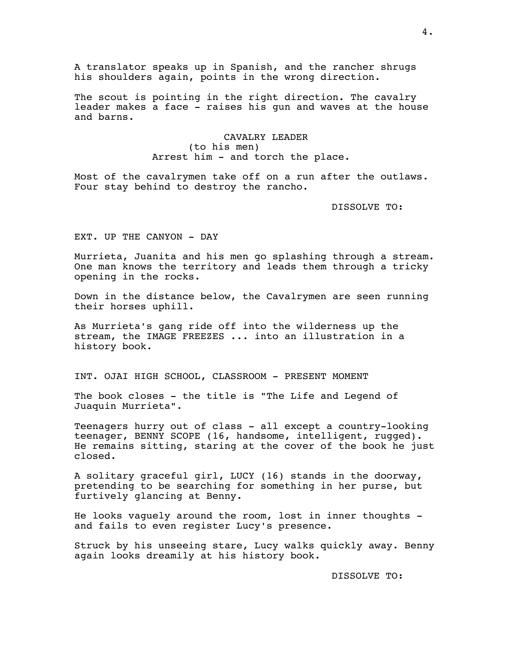A translator speaks up in Spanish, and the rancher shrugs his shoulders again, points in the wrong direction.

The scout is pointing in the right direction. The cavalry leader makes a face - raises his gun and waves at the house and barns.

> CAVALRY LEADER (to his men) Arrest him - and torch the place.

Most of the cavalrymen take off on a run after the outlaws. Four stay behind to destroy the rancho.

DISSOLVE TO:

EXT. UP THE CANYON - DAY

Murrieta, Juanita and his men go splashing through a stream. One man knows the territory and leads them through a tricky opening in the rocks.

Down in the distance below, the Cavalrymen are seen running their horses uphill.

As Murrieta's gang ride off into the wilderness up the stream, the IMAGE FREEZES ... into an illustration in a history book.

INT. OJAI HIGH SCHOOL, CLASSROOM - PRESENT MOMENT

The book closes - the title is "The Life and Legend of Juaquin Murrieta".

Teenagers hurry out of class - all except a country-looking teenager, BENNY SCOPE (16, handsome, intelligent, rugged). He remains sitting, staring at the cover of the book he just closed.

A solitary graceful girl, LUCY (16) stands in the doorway, pretending to be searching for something in her purse, but furtively glancing at Benny.

He looks vaguely around the room, lost in inner thoughts and fails to even register Lucy's presence.

Struck by his unseeing stare, Lucy walks quickly away. Benny again looks dreamily at his history book.

DISSOLVE TO: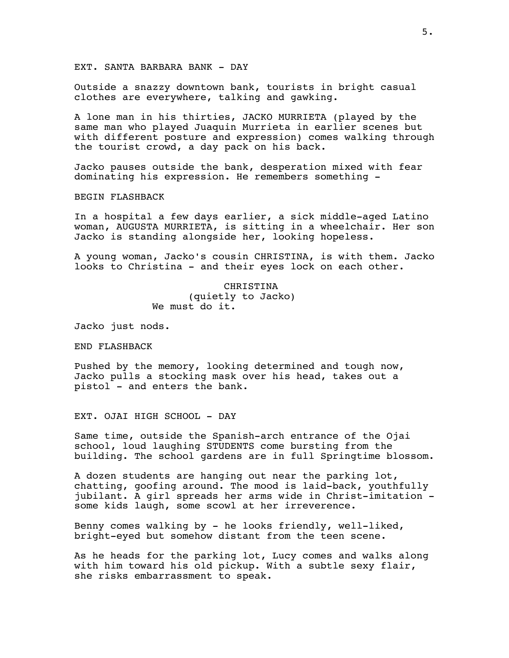# EXT. SANTA BARBARA BANK - DAY

Outside a snazzy downtown bank, tourists in bright casual clothes are everywhere, talking and gawking.

A lone man in his thirties, JACKO MURRIETA (played by the same man who played Juaquin Murrieta in earlier scenes but with different posture and expression) comes walking through the tourist crowd, a day pack on his back.

Jacko pauses outside the bank, desperation mixed with fear dominating his expression. He remembers something -

BEGIN FLASHBACK

In a hospital a few days earlier, a sick middle-aged Latino woman, AUGUSTA MURRIETA, is sitting in a wheelchair. Her son Jacko is standing alongside her, looking hopeless.

A young woman, Jacko's cousin CHRISTINA, is with them. Jacko looks to Christina - and their eyes lock on each other.

> CHRISTINA (quietly to Jacko) We must do it.

Jacko just nods.

END FLASHBACK

Pushed by the memory, looking determined and tough now, Jacko pulls a stocking mask over his head, takes out a pistol - and enters the bank.

EXT. OJAI HIGH SCHOOL - DAY

Same time, outside the Spanish-arch entrance of the Ojai school, loud laughing STUDENTS come bursting from the building. The school gardens are in full Springtime blossom.

A dozen students are hanging out near the parking lot, chatting, goofing around. The mood is laid-back, youthfully jubilant. A girl spreads her arms wide in Christ-imitation some kids laugh, some scowl at her irreverence.

Benny comes walking by - he looks friendly, well-liked, bright-eyed but somehow distant from the teen scene.

As he heads for the parking lot, Lucy comes and walks along with him toward his old pickup. With a subtle sexy flair, she risks embarrassment to speak.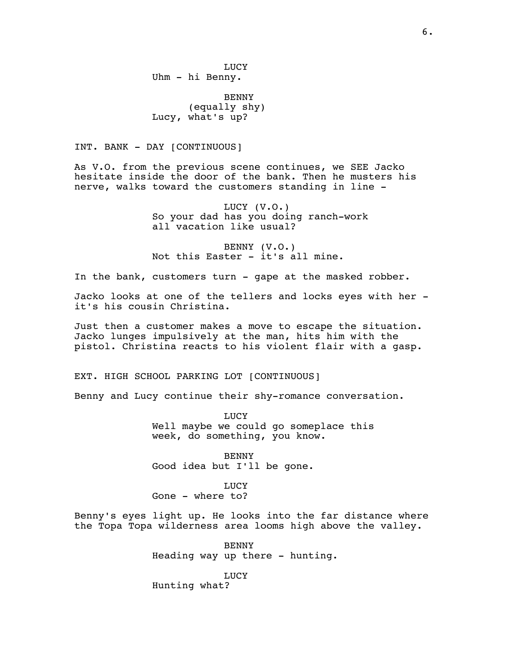LUCY Uhm - hi Benny.

BENNY (equally shy) Lucy, what's up?

INT. BANK - DAY [CONTINUOUS]

As V.O. from the previous scene continues, we SEE Jacko hesitate inside the door of the bank. Then he musters his nerve, walks toward the customers standing in line -

> LUCY (V.O.) So your dad has you doing ranch-work all vacation like usual?

BENNY (V.O.) Not this Easter - it's all mine.

In the bank, customers turn - gape at the masked robber.

Jacko looks at one of the tellers and locks eyes with her it's his cousin Christina.

Just then a customer makes a move to escape the situation. Jacko lunges impulsively at the man, hits him with the pistol. Christina reacts to his violent flair with a gasp.

EXT. HIGH SCHOOL PARKING LOT [CONTINUOUS]

Benny and Lucy continue their shy-romance conversation.

LUCY Well maybe we could go someplace this week, do something, you know.

BENNY Good idea but I'll be gone.

LUCY Gone - where to?

Benny's eyes light up. He looks into the far distance where the Topa Topa wilderness area looms high above the valley.

> BENNY Heading way up there - hunting.

LUCY Hunting what?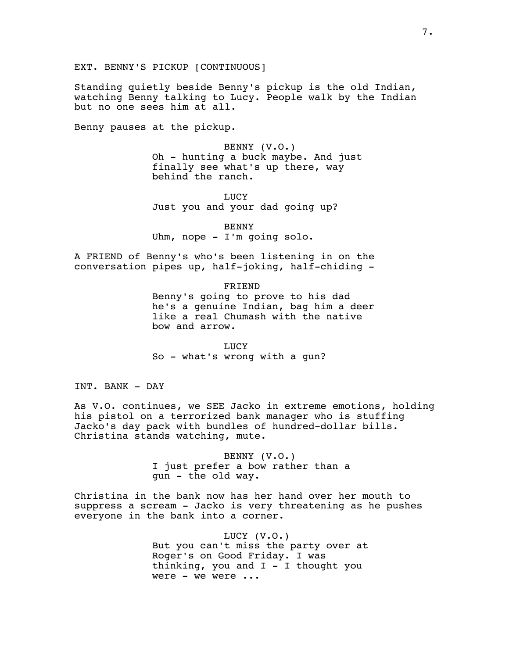Standing quietly beside Benny's pickup is the old Indian, watching Benny talking to Lucy. People walk by the Indian but no one sees him at all.

Benny pauses at the pickup.

BENNY (V.O.) Oh - hunting a buck maybe. And just finally see what's up there, way behind the ranch.

LUCY Just you and your dad going up?

BENNY Uhm, nope - I'm going solo.

A FRIEND of Benny's who's been listening in on the conversation pipes up, half-joking, half-chiding -

> FRIEND Benny's going to prove to his dad he's a genuine Indian, bag him a deer like a real Chumash with the native bow and arrow.

LUCY So - what's wrong with a gun?

INT. BANK - DAY

As V.O. continues, we SEE Jacko in extreme emotions, holding his pistol on a terrorized bank manager who is stuffing Jacko's day pack with bundles of hundred-dollar bills. Christina stands watching, mute.

> BENNY (V.O.) I just prefer a bow rather than a gun - the old way.

Christina in the bank now has her hand over her mouth to suppress a scream - Jacko is very threatening as he pushes everyone in the bank into a corner.

> LUCY (V.O.) But you can't miss the party over at Roger's on Good Friday. I was thinking, you and  $I - I$  thought you were - we were ...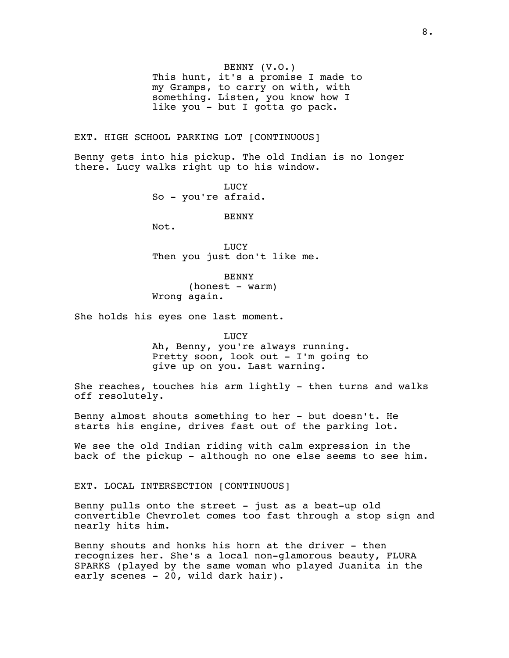BENNY (V.O.)

This hunt, it's a promise I made to my Gramps, to carry on with, with something. Listen, you know how I like you - but I gotta go pack.

# EXT. HIGH SCHOOL PARKING LOT [CONTINUOUS]

Benny gets into his pickup. The old Indian is no longer there. Lucy walks right up to his window.

> LUCY So - you're afraid.

> > BENNY

Not.

LUCY Then you just don't like me.

BENNY (honest - warm) Wrong again.

She holds his eyes one last moment.

LUCY

Ah, Benny, you're always running. Pretty soon, look out - I'm going to give up on you. Last warning.

She reaches, touches his arm lightly - then turns and walks off resolutely.

Benny almost shouts something to her - but doesn't. He starts his engine, drives fast out of the parking lot.

We see the old Indian riding with calm expression in the back of the pickup - although no one else seems to see him.

EXT. LOCAL INTERSECTION [CONTINUOUS]

Benny pulls onto the street - just as a beat-up old convertible Chevrolet comes too fast through a stop sign and nearly hits him.

Benny shouts and honks his horn at the driver - then recognizes her. She's a local non-glamorous beauty, FLURA SPARKS (played by the same woman who played Juanita in the early scenes - 20, wild dark hair).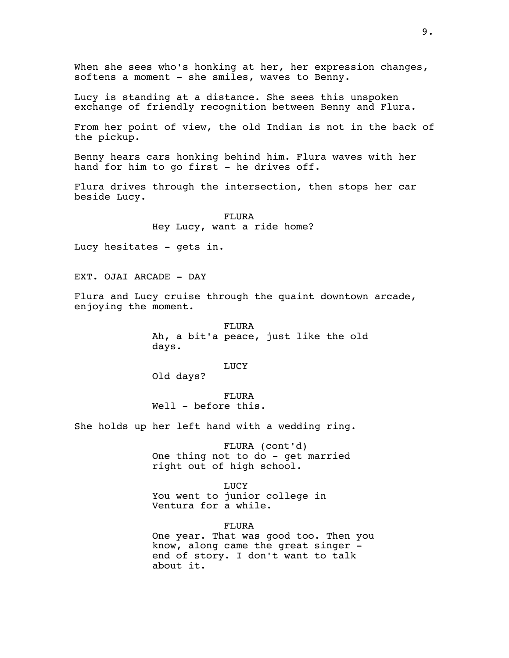When she sees who's honking at her, her expression changes, softens a moment - she smiles, waves to Benny. Lucy is standing at a distance. She sees this unspoken exchange of friendly recognition between Benny and Flura. From her point of view, the old Indian is not in the back of the pickup. Benny hears cars honking behind him. Flura waves with her hand for him to go first - he drives off. Flura drives through the intersection, then stops her car beside Lucy. FLURA Hey Lucy, want a ride home? Lucy hesitates - gets in. EXT. OJAI ARCADE - DAY Flura and Lucy cruise through the quaint downtown arcade, enjoying the moment. FLURA Ah, a bit'a peace, just like the old days. LUCY Old days? FLURA Well - before this. She holds up her left hand with a wedding ring. FLURA (cont'd) One thing not to do - get married right out of high school. LUCY You went to junior college in Ventura for a while. FLURA One year. That was good too. Then you know, along came the great singer end of story. I don't want to talk about it.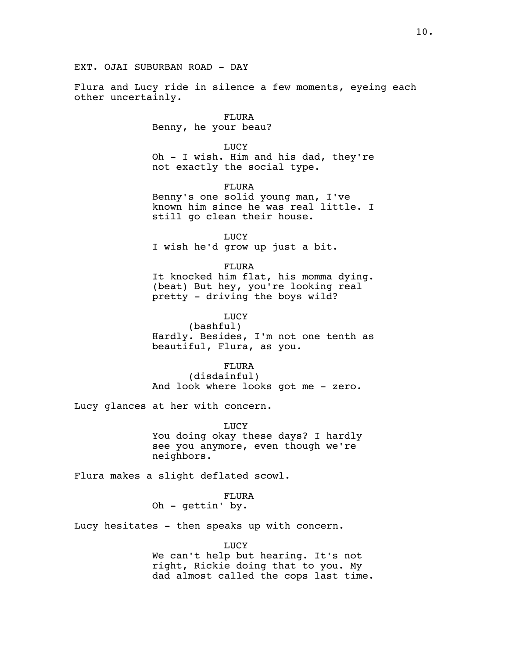# EXT. OJAI SUBURBAN ROAD - DAY

Flura and Lucy ride in silence a few moments, eyeing each other uncertainly.

> FLURA Benny, he your beau?

> > LUCY

Oh - I wish. Him and his dad, they're not exactly the social type.

FLURA Benny's one solid young man, I've known him since he was real little. I still go clean their house.

LUCY I wish he'd grow up just a bit.

FLURA It knocked him flat, his momma dying. (beat) But hey, you're looking real pretty - driving the boys wild?

LUCY

(bashful) Hardly. Besides, I'm not one tenth as beautiful, Flura, as you.

FLURA

(disdainful) And look where looks got me - zero.

Lucy glances at her with concern.

LUCY You doing okay these days? I hardly see you anymore, even though we're neighbors.

Flura makes a slight deflated scowl.

FLURA Oh - gettin' by.

Lucy hesitates - then speaks up with concern.

LUCY

We can't help but hearing. It's not right, Rickie doing that to you. My dad almost called the cops last time.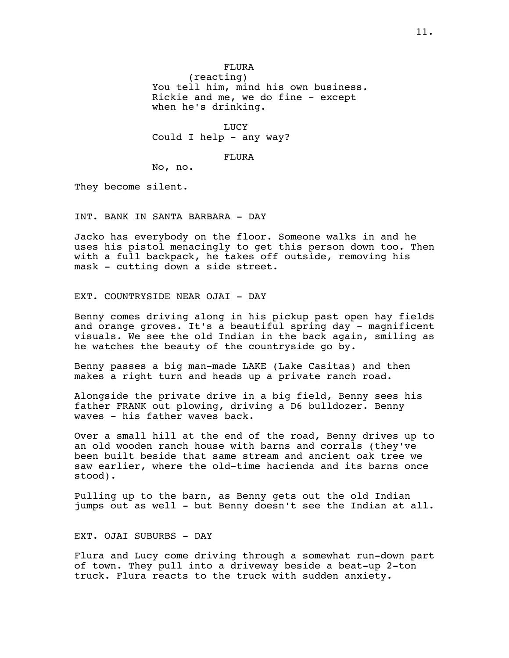(reacting) You tell him, mind his own business. Rickie and me, we do fine - except when he's drinking.

LUCY Could I help - any way?

# FLURA

No, no.

They become silent.

INT. BANK IN SANTA BARBARA - DAY

Jacko has everybody on the floor. Someone walks in and he uses his pistol menacingly to get this person down too. Then with a full backpack, he takes off outside, removing his mask - cutting down a side street.

EXT. COUNTRYSIDE NEAR OJAI - DAY

Benny comes driving along in his pickup past open hay fields and orange groves. It's a beautiful spring day - magnificent visuals. We see the old Indian in the back again, smiling as he watches the beauty of the countryside go by.

Benny passes a big man-made LAKE (Lake Casitas) and then makes a right turn and heads up a private ranch road.

Alongside the private drive in a big field, Benny sees his father FRANK out plowing, driving a D6 bulldozer. Benny waves - his father waves back.

Over a small hill at the end of the road, Benny drives up to an old wooden ranch house with barns and corrals (they've been built beside that same stream and ancient oak tree we saw earlier, where the old-time hacienda and its barns once stood).

Pulling up to the barn, as Benny gets out the old Indian jumps out as well - but Benny doesn't see the Indian at all.

EXT. OJAI SUBURBS - DAY

Flura and Lucy come driving through a somewhat run-down part of town. They pull into a driveway beside a beat-up 2-ton truck. Flura reacts to the truck with sudden anxiety.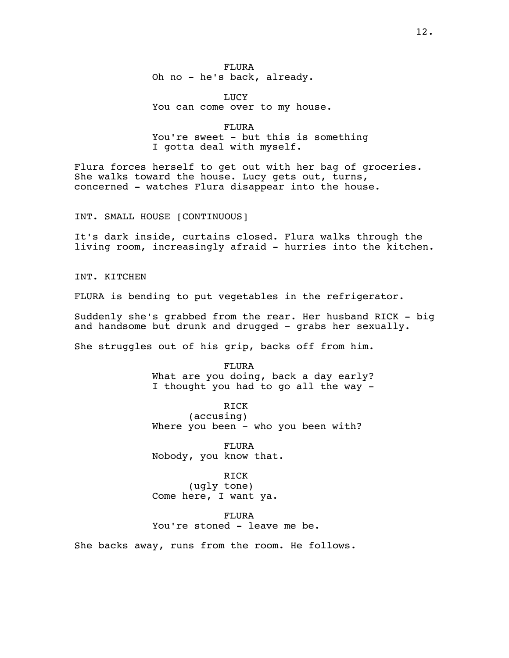FLURA Oh no - he's back, already.

LUCY You can come over to my house.

FLURA You're sweet - but this is something I gotta deal with myself.

Flura forces herself to get out with her bag of groceries. She walks toward the house. Lucy gets out, turns, concerned - watches Flura disappear into the house.

INT. SMALL HOUSE [CONTINUOUS]

It's dark inside, curtains closed. Flura walks through the living room, increasingly afraid - hurries into the kitchen.

INT. KITCHEN

FLURA is bending to put vegetables in the refrigerator.

Suddenly she's grabbed from the rear. Her husband RICK - big and handsome but drunk and drugged - grabs her sexually.

She struggles out of his grip, backs off from him.

FLURA What are you doing, back a day early? I thought you had to go all the way -

RICK (accusing) Where you been - who you been with?

FLURA Nobody, you know that.

RICK

(ugly tone) Come here, I want ya.

FLURA

You're stoned - leave me be.

She backs away, runs from the room. He follows.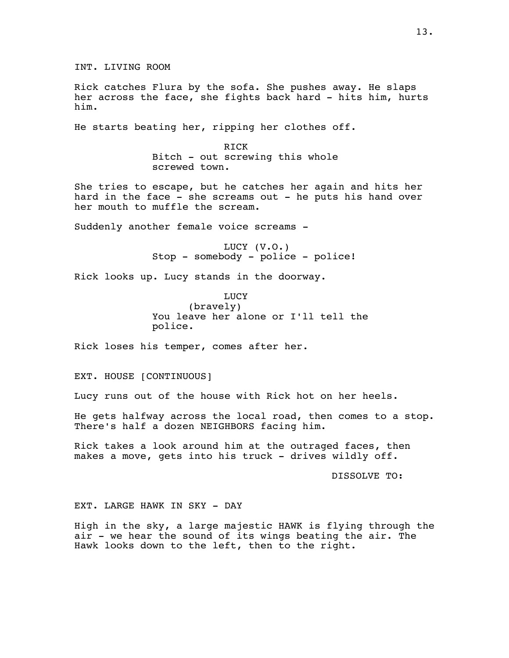Rick catches Flura by the sofa. She pushes away. He slaps her across the face, she fights back hard - hits him, hurts him.

He starts beating her, ripping her clothes off.

RICK Bitch - out screwing this whole screwed town.

She tries to escape, but he catches her again and hits her hard in the face - she screams out - he puts his hand over her mouth to muffle the scream.

Suddenly another female voice screams -

LUCY (V.O.) Stop - somebody - police - police!

Rick looks up. Lucy stands in the doorway.

LUCY (bravely) You leave her alone or I'll tell the police.

Rick loses his temper, comes after her.

EXT. HOUSE [CONTINUOUS]

Lucy runs out of the house with Rick hot on her heels.

He gets halfway across the local road, then comes to a stop. There's half a dozen NEIGHBORS facing him.

Rick takes a look around him at the outraged faces, then makes a move, gets into his truck - drives wildly off.

DISSOLVE TO:

# EXT. LARGE HAWK IN SKY - DAY

High in the sky, a large majestic HAWK is flying through the air - we hear the sound of its wings beating the air. The Hawk looks down to the left, then to the right.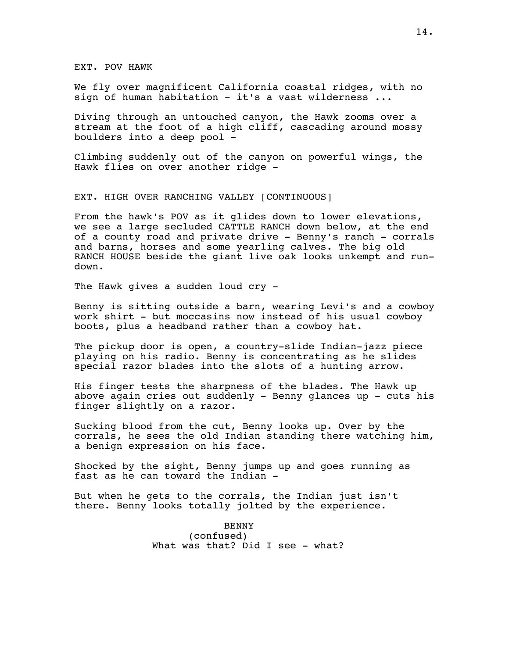EXT. POV HAWK

We fly over magnificent California coastal ridges, with no sign of human habitation  $-$  it's a vast wilderness  $\ldots$ 

Diving through an untouched canyon, the Hawk zooms over a stream at the foot of a high cliff, cascading around mossy boulders into a deep pool -

Climbing suddenly out of the canyon on powerful wings, the Hawk flies on over another ridge -

EXT. HIGH OVER RANCHING VALLEY [CONTINUOUS]

From the hawk's POV as it glides down to lower elevations, we see a large secluded CATTLE RANCH down below, at the end of a county road and private drive - Benny's ranch - corrals and barns, horses and some yearling calves. The big old RANCH HOUSE beside the giant live oak looks unkempt and rundown.

The Hawk gives a sudden loud cry -

Benny is sitting outside a barn, wearing Levi's and a cowboy work shirt - but moccasins now instead of his usual cowboy boots, plus a headband rather than a cowboy hat.

The pickup door is open, a country-slide Indian-jazz piece playing on his radio. Benny is concentrating as he slides special razor blades into the slots of a hunting arrow.

His finger tests the sharpness of the blades. The Hawk up above again cries out suddenly - Benny glances up - cuts his finger slightly on a razor.

Sucking blood from the cut, Benny looks up. Over by the corrals, he sees the old Indian standing there watching him, a benign expression on his face.

Shocked by the sight, Benny jumps up and goes running as fast as he can toward the Indian -

But when he gets to the corrals, the Indian just isn't there. Benny looks totally jolted by the experience.

> BENNY (confused) What was that? Did I see - what?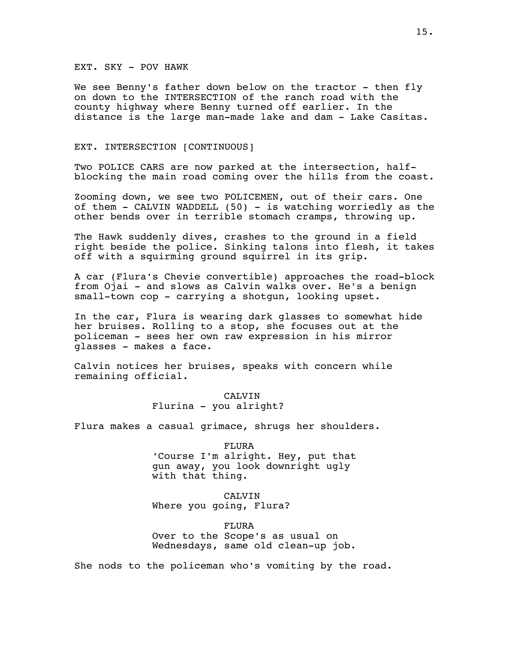# EXT. SKY - POV HAWK

We see Benny's father down below on the tractor - then fly on down to the INTERSECTION of the ranch road with the county highway where Benny turned off earlier. In the distance is the large man-made lake and dam - Lake Casitas.

# EXT. INTERSECTION [CONTINUOUS]

Two POLICE CARS are now parked at the intersection, halfblocking the main road coming over the hills from the coast.

Zooming down, we see two POLICEMEN, out of their cars. One of them - CALVIN WADDELL (50) - is watching worriedly as the other bends over in terrible stomach cramps, throwing up.

The Hawk suddenly dives, crashes to the ground in a field right beside the police. Sinking talons into flesh, it takes off with a squirming ground squirrel in its grip.

A car (Flura's Chevie convertible) approaches the road-block from Ojai - and slows as Calvin walks over. He's a benign small-town cop - carrying a shotgun, looking upset.

In the car, Flura is wearing dark glasses to somewhat hide her bruises. Rolling to a stop, she focuses out at the policeman - sees her own raw expression in his mirror glasses - makes a face.

Calvin notices her bruises, speaks with concern while remaining official.

# CALVIN Flurina - you alright?

Flura makes a casual grimace, shrugs her shoulders.

# FLURA 'Course I'm alright. Hey, put that gun away, you look downright ugly with that thing.

# CALVIN Where you going, Flura?

FLURA Over to the Scope's as usual on Wednesdays, same old clean-up job.

She nods to the policeman who's vomiting by the road.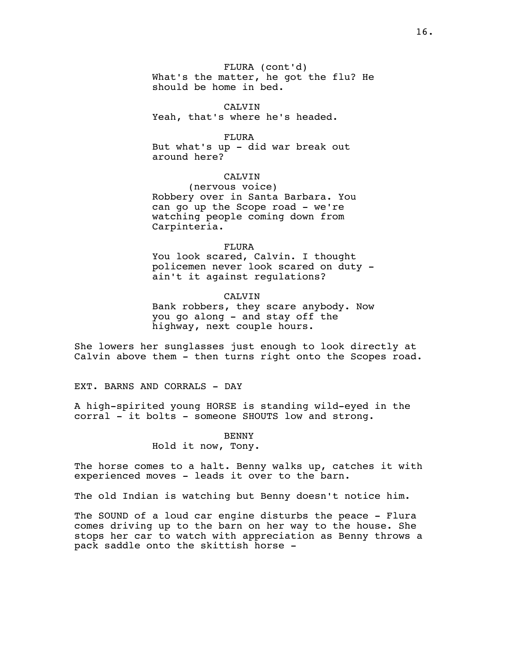FLURA (cont'd) What's the matter, he got the flu? He should be home in bed.

CALVIN Yeah, that's where he's headed.

FLURA But what's up - did war break out around here?

# CALVIN

(nervous voice) Robbery over in Santa Barbara. You can go up the Scope road - we're watching people coming down from Carpinteria.

# FLURA

You look scared, Calvin. I thought policemen never look scared on duty ain't it against regulations?

### CALVIN

Bank robbers, they scare anybody. Now you go along - and stay off the highway, next couple hours.

She lowers her sunglasses just enough to look directly at Calvin above them - then turns right onto the Scopes road.

EXT. BARNS AND CORRALS - DAY

A high-spirited young HORSE is standing wild-eyed in the corral - it bolts - someone SHOUTS low and strong.

# BENNY

Hold it now, Tony.

The horse comes to a halt. Benny walks up, catches it with experienced moves - leads it over to the barn.

The old Indian is watching but Benny doesn't notice him.

The SOUND of a loud car engine disturbs the peace - Flura comes driving up to the barn on her way to the house. She stops her car to watch with appreciation as Benny throws a pack saddle onto the skittish horse -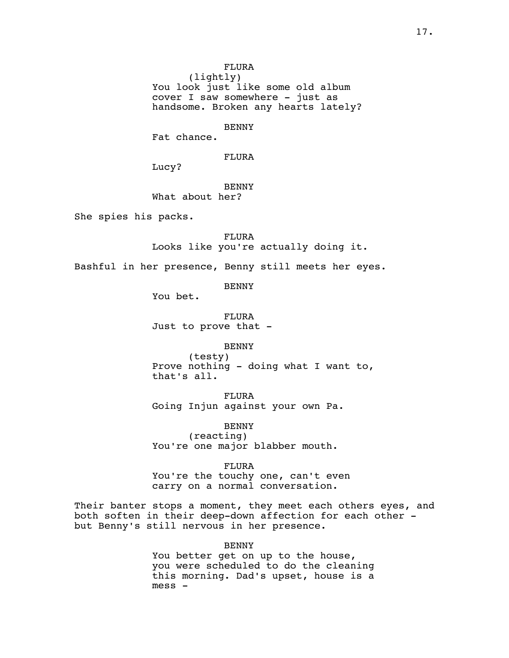(lightly) You look just like some old album cover I saw somewhere - just as handsome. Broken any hearts lately?

#### BENNY

Fat chance.

FLURA

Lucy?

BENNY

What about her?

She spies his packs.

# FLURA

Looks like you're actually doing it.

Bashful in her presence, Benny still meets her eyes.

BENNY

You bet.

FLURA Just to prove that -

BENNY

(testy) Prove nothing - doing what I want to, that's all.

FLURA Going Injun against your own Pa.

BENNY (reacting) You're one major blabber mouth.

FLURA You're the touchy one, can't even carry on a normal conversation.

Their banter stops a moment, they meet each others eyes, and both soften in their deep-down affection for each other but Benny's still nervous in her presence.

> BENNY You better get on up to the house, you were scheduled to do the cleaning this morning. Dad's upset, house is a mess -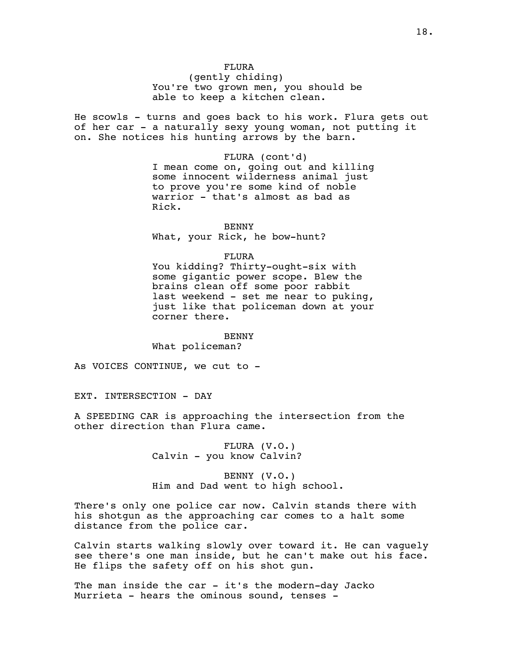(gently chiding) You're two grown men, you should be able to keep a kitchen clean.

He scowls - turns and goes back to his work. Flura gets out of her car - a naturally sexy young woman, not putting it on. She notices his hunting arrows by the barn.

> FLURA (cont'd) I mean come on, going out and killing some innocent wilderness animal just to prove you're some kind of noble warrior - that's almost as bad as Rick.

BENNY What, your Rick, he bow-hunt?

#### FLURA

You kidding? Thirty-ought-six with some gigantic power scope. Blew the brains clean off some poor rabbit last weekend - set me near to puking, just like that policeman down at your corner there.

# BENNY

What policeman?

As VOICES CONTINUE, we cut to -

EXT. INTERSECTION - DAY

A SPEEDING CAR is approaching the intersection from the other direction than Flura came.

> FLURA (V.O.) Calvin - you know Calvin?

BENNY (V.O.) Him and Dad went to high school.

There's only one police car now. Calvin stands there with his shotgun as the approaching car comes to a halt some distance from the police car.

Calvin starts walking slowly over toward it. He can vaguely see there's one man inside, but he can't make out his face. He flips the safety off on his shot gun.

The man inside the car  $-$  it's the modern-day Jacko Murrieta - hears the ominous sound, tenses -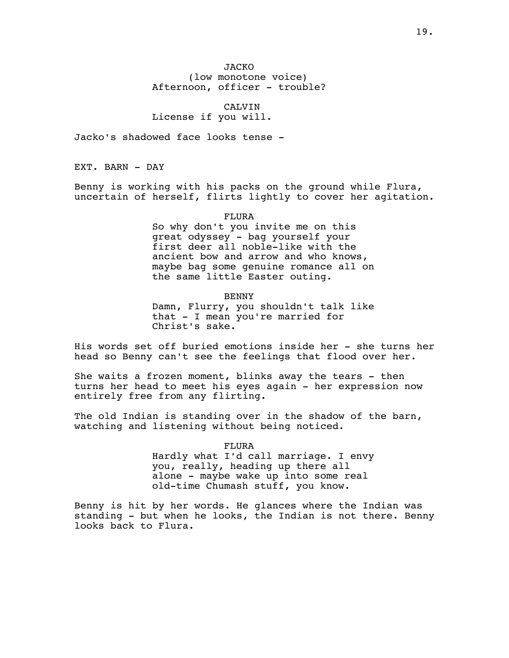JACKO (low monotone voice) Afternoon, officer - trouble?

CALVIN License if you will.

Jacko's shadowed face looks tense -

EXT. BARN - DAY

Benny is working with his packs on the ground while Flura, uncertain of herself, flirts lightly to cover her agitation.

FLURA

So why don't you invite me on this great odyssey - bag yourself your first deer all noble-like with the ancient bow and arrow and who knows, maybe bag some genuine romance all on the same little Easter outing.

BENNY

Damn, Flurry, you shouldn't talk like that - I mean you're married for Christ's sake.

His words set off buried emotions inside her - she turns her head so Benny can't see the feelings that flood over her.

She waits a frozen moment, blinks away the tears - then turns her head to meet his eyes again - her expression now entirely free from any flirting.

The old Indian is standing over in the shadow of the barn, watching and listening without being noticed.

> FLURA Hardly what I'd call marriage. I envy you, really, heading up there all alone - maybe wake up into some real old-time Chumash stuff, you know.

Benny is hit by her words. He glances where the Indian was standing - but when he looks, the Indian is not there. Benny looks back to Flura.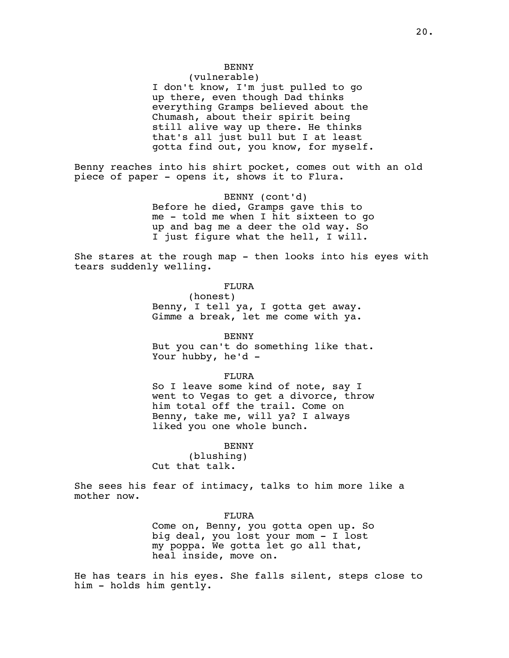# BENNY

# (vulnerable)

I don't know, I'm just pulled to go up there, even though Dad thinks everything Gramps believed about the Chumash, about their spirit being still alive way up there. He thinks that's all just bull but I at least gotta find out, you know, for myself.

Benny reaches into his shirt pocket, comes out with an old piece of paper - opens it, shows it to Flura.

> BENNY (cont'd) Before he died, Gramps gave this to me - told me when I hit sixteen to go up and bag me a deer the old way. So I just figure what the hell, I will.

She stares at the rough map - then looks into his eyes with tears suddenly welling.

# FLURA

(honest) Benny, I tell ya, I gotta get away. Gimme a break, let me come with ya.

BENNY But you can't do something like that. Your hubby, he'd -

FLURA

So I leave some kind of note, say I went to Vegas to get a divorce, throw him total off the trail. Come on Benny, take me, will ya? I always liked you one whole bunch.

#### BENNY

(blushing) Cut that talk.

She sees his fear of intimacy, talks to him more like a mother now.

### FLURA

Come on, Benny, you gotta open up. So big deal, you lost your mom - I lost my poppa. We gotta let go all that, heal inside, move on.

He has tears in his eyes. She falls silent, steps close to him - holds him gently.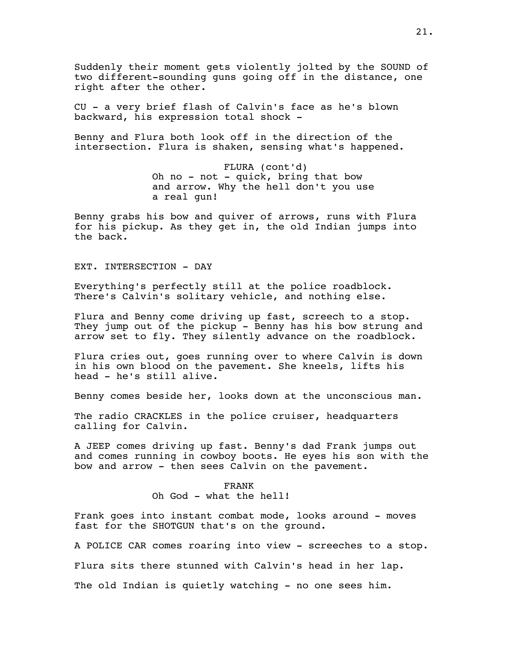Suddenly their moment gets violently jolted by the SOUND of two different-sounding guns going off in the distance, one right after the other.

CU - a very brief flash of Calvin's face as he's blown backward, his expression total shock -

Benny and Flura both look off in the direction of the intersection. Flura is shaken, sensing what's happened.

> FLURA (cont'd) Oh no - not - quick, bring that bow and arrow. Why the hell don't you use a real gun!

Benny grabs his bow and quiver of arrows, runs with Flura for his pickup. As they get in, the old Indian jumps into the back.

EXT. INTERSECTION - DAY

Everything's perfectly still at the police roadblock. There's Calvin's solitary vehicle, and nothing else.

Flura and Benny come driving up fast, screech to a stop. They jump out of the pickup - Benny has his bow strung and arrow set to fly. They silently advance on the roadblock.

Flura cries out, goes running over to where Calvin is down in his own blood on the pavement. She kneels, lifts his head - he's still alive.

Benny comes beside her, looks down at the unconscious man.

The radio CRACKLES in the police cruiser, headquarters calling for Calvin.

A JEEP comes driving up fast. Benny's dad Frank jumps out and comes running in cowboy boots. He eyes his son with the bow and arrow - then sees Calvin on the pavement.

> FRANK Oh God - what the hell!

Frank goes into instant combat mode, looks around - moves fast for the SHOTGUN that's on the ground.

A POLICE CAR comes roaring into view - screeches to a stop.

Flura sits there stunned with Calvin's head in her lap.

The old Indian is quietly watching - no one sees him.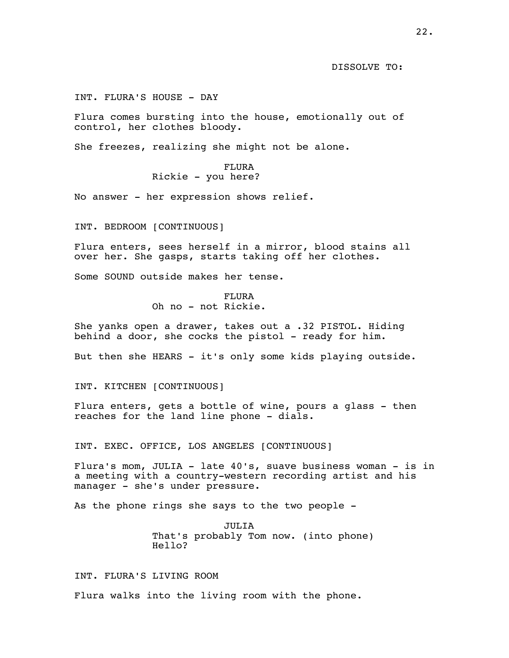DISSOLVE TO:

INT. FLURA'S HOUSE - DAY

Flura comes bursting into the house, emotionally out of control, her clothes bloody.

She freezes, realizing she might not be alone.

# FLURA Rickie - you here?

No answer - her expression shows relief.

INT. BEDROOM [CONTINUOUS]

Flura enters, sees herself in a mirror, blood stains all over her. She gasps, starts taking off her clothes.

Some SOUND outside makes her tense.

# FLURA Oh no - not Rickie.

She yanks open a drawer, takes out a .32 PISTOL. Hiding behind a door, she cocks the pistol - ready for him.

But then she HEARS - it's only some kids playing outside.

INT. KITCHEN [CONTINUOUS]

Flura enters, gets a bottle of wine, pours a glass - then reaches for the land line phone - dials.

INT. EXEC. OFFICE, LOS ANGELES [CONTINUOUS]

Flura's mom, JULIA - late 40's, suave business woman - is in a meeting with a country-western recording artist and his manager - she's under pressure.

As the phone rings she says to the two people -

JULIA That's probably Tom now. (into phone) Hello?

# INT. FLURA'S LIVING ROOM

Flura walks into the living room with the phone.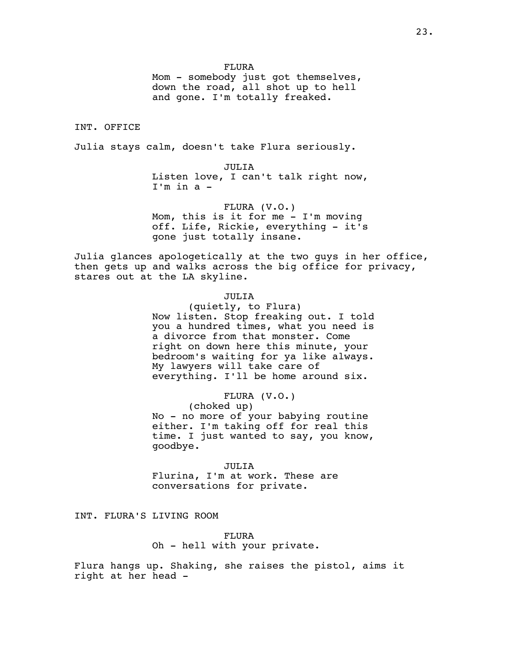Mom - somebody just got themselves, down the road, all shot up to hell and gone. I'm totally freaked.

# INT. OFFICE

Julia stays calm, doesn't take Flura seriously.

# JULIA

Listen love, I can't talk right now, I'm in a -

#### FLURA (V.O.)

Mom, this is it for me - I'm moving off. Life, Rickie, everything - it's gone just totally insane.

Julia glances apologetically at the two guys in her office, then gets up and walks across the big office for privacy, stares out at the LA skyline.

### JULIA

(quietly, to Flura) Now listen. Stop freaking out. I told you a hundred times, what you need is a divorce from that monster. Come right on down here this minute, your bedroom's waiting for ya like always. My lawyers will take care of everything. I'll be home around six.

### FLURA (V.O.)

(choked up) No - no more of your babying routine either. I'm taking off for real this time. I just wanted to say, you know, goodbye.

### JULIA

Flurina, I'm at work. These are conversations for private.

INT. FLURA'S LIVING ROOM

FLURA Oh - hell with your private.

Flura hangs up. Shaking, she raises the pistol, aims it right at her head -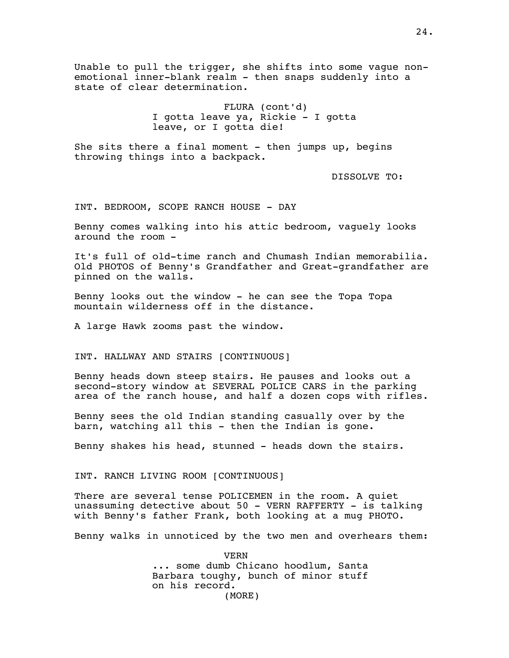Unable to pull the trigger, she shifts into some vague nonemotional inner-blank realm - then snaps suddenly into a state of clear determination.

> FLURA (cont'd) I gotta leave ya, Rickie - I gotta leave, or I gotta die!

She sits there a final moment  $-$  then jumps up, begins throwing things into a backpack.

DISSOLVE TO:

INT. BEDROOM, SCOPE RANCH HOUSE - DAY

Benny comes walking into his attic bedroom, vaguely looks around the room -

It's full of old-time ranch and Chumash Indian memorabilia. Old PHOTOS of Benny's Grandfather and Great-grandfather are pinned on the walls.

Benny looks out the window - he can see the Topa Topa mountain wilderness off in the distance.

A large Hawk zooms past the window.

INT. HALLWAY AND STAIRS [CONTINUOUS]

Benny heads down steep stairs. He pauses and looks out a second-story window at SEVERAL POLICE CARS in the parking area of the ranch house, and half a dozen cops with rifles.

Benny sees the old Indian standing casually over by the barn, watching all this - then the Indian is gone.

Benny shakes his head, stunned - heads down the stairs.

INT. RANCH LIVING ROOM [CONTINUOUS]

There are several tense POLICEMEN in the room. A quiet unassuming detective about 50 - VERN RAFFERTY - is talking with Benny's father Frank, both looking at a mug PHOTO.

Benny walks in unnoticed by the two men and overhears them:

VERN ... some dumb Chicano hoodlum, Santa Barbara toughy, bunch of minor stuff on his record. (MORE)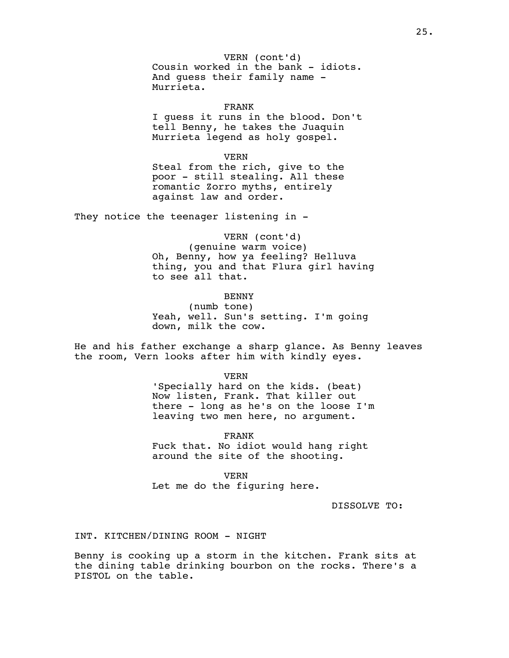Cousin worked in the bank - idiots. VERN (cont'd) And guess their family name - Murrieta.

FRANK I guess it runs in the blood. Don't tell Benny, he takes the Juaquin Murrieta legend as holy gospel.

VERN Steal from the rich, give to the poor - still stealing. All these romantic Zorro myths, entirely against law and order.

They notice the teenager listening in -

VERN (cont'd) (genuine warm voice) Oh, Benny, how ya feeling? Helluva thing, you and that Flura girl having to see all that.

# BENNY

(numb tone) Yeah, well. Sun's setting. I'm going down, milk the cow.

He and his father exchange a sharp glance. As Benny leaves the room, Vern looks after him with kindly eyes.

> VERN 'Specially hard on the kids. (beat) Now listen, Frank. That killer out there - long as he's on the loose I'm leaving two men here, no argument.

FRANK Fuck that. No idiot would hang right around the site of the shooting.

VERN Let me do the figuring here.

DISSOLVE TO:

# INT. KITCHEN/DINING ROOM - NIGHT

Benny is cooking up a storm in the kitchen. Frank sits at the dining table drinking bourbon on the rocks. There's a PISTOL on the table.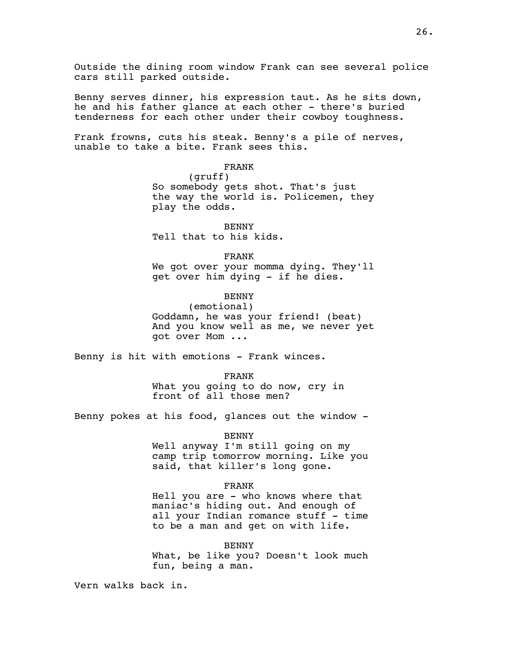Outside the dining room window Frank can see several police cars still parked outside.

Benny serves dinner, his expression taut. As he sits down, he and his father glance at each other - there's buried tenderness for each other under their cowboy toughness.

Frank frowns, cuts his steak. Benny's a pile of nerves, unable to take a bite. Frank sees this.

FRANK

(gruff) So somebody gets shot. That's just the way the world is. Policemen, they play the odds.

BENNY Tell that to his kids.

## FRANK

We got over your momma dying. They'll get over him dying - if he dies.

# BENNY

(emotional) Goddamn, he was your friend! (beat) And you know well as me, we never yet got over Mom ...

Benny is hit with emotions - Frank winces.

FRANK What you going to do now, cry in front of all those men?

Benny pokes at his food, glances out the window -

BENNY

Well anyway I'm still going on my camp trip tomorrow morning. Like you said, that killer's long gone.

### FRANK

Hell you are - who knows where that maniac's hiding out. And enough of all your Indian romance stuff - time to be a man and get on with life.

#### BENNY

What, be like you? Doesn't look much fun, being a man.

Vern walks back in.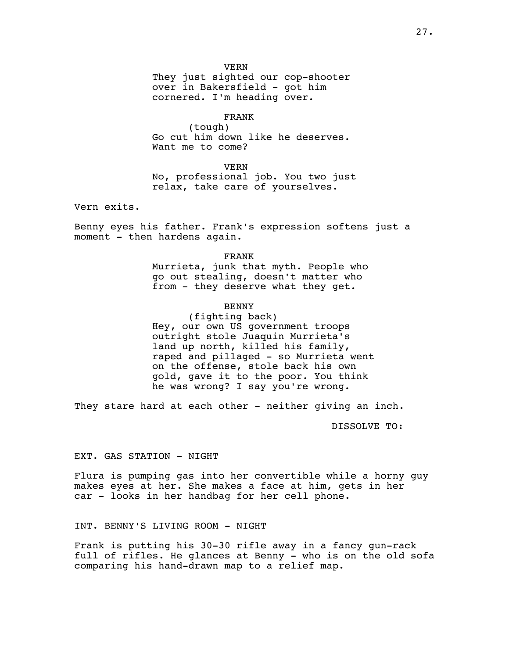VERN

They just sighted our cop-shooter over in Bakersfield - got him cornered. I'm heading over.

### FRANK

(tough) Go cut him down like he deserves. Want me to come?

VERN No, professional job. You two just relax, take care of yourselves.

Vern exits.

Benny eyes his father. Frank's expression softens just a moment - then hardens again.

> FRANK Murrieta, junk that myth. People who go out stealing, doesn't matter who from - they deserve what they get.

# BENNY

(fighting back) Hey, our own US government troops outright stole Juaquin Murrieta's land up north, killed his family, raped and pillaged - so Murrieta went on the offense, stole back his own gold, gave it to the poor. You think he was wrong? I say you're wrong.

They stare hard at each other - neither giving an inch.

DISSOLVE TO:

EXT. GAS STATION - NIGHT

Flura is pumping gas into her convertible while a horny guy makes eyes at her. She makes a face at him, gets in her car - looks in her handbag for her cell phone.

INT. BENNY'S LIVING ROOM - NIGHT

Frank is putting his 30-30 rifle away in a fancy gun-rack full of rifles. He glances at Benny - who is on the old sofa comparing his hand-drawn map to a relief map.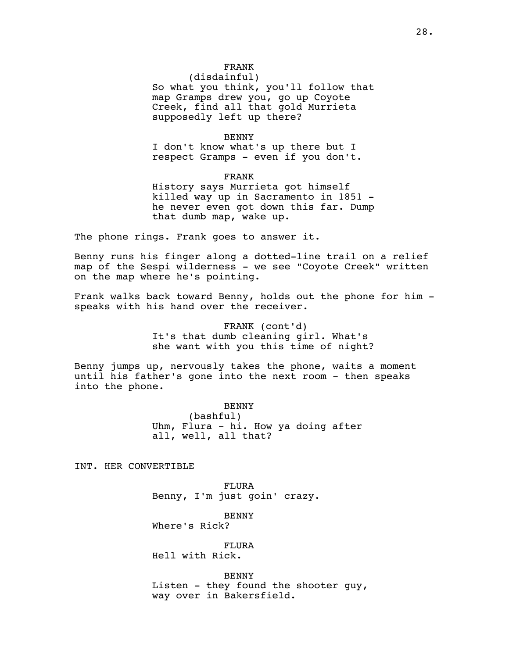(disdainful) So what you think, you'll follow that map Gramps drew you, go up Coyote Creek, find all that gold Murrieta supposedly left up there?

#### BENNY

I don't know what's up there but I respect Gramps - even if you don't.

### FRANK

History says Murrieta got himself killed way up in Sacramento in 1851 he never even got down this far. Dump that dumb map, wake up.

The phone rings. Frank goes to answer it.

Benny runs his finger along a dotted-line trail on a relief map of the Sespi wilderness - we see "Coyote Creek" written on the map where he's pointing.

Frank walks back toward Benny, holds out the phone for him speaks with his hand over the receiver.

> FRANK (cont'd) It's that dumb cleaning girl. What's she want with you this time of night?

Benny jumps up, nervously takes the phone, waits a moment until his father's gone into the next room - then speaks into the phone.

> BENNY (bashful) Uhm, Flura - hi. How ya doing after all, well, all that?

INT. HER CONVERTIBLE

FLURA Benny, I'm just goin' crazy.

BENNY Where's Rick?

FLURA Hell with Rick.

BENNY Listen - they found the shooter guy, way over in Bakersfield.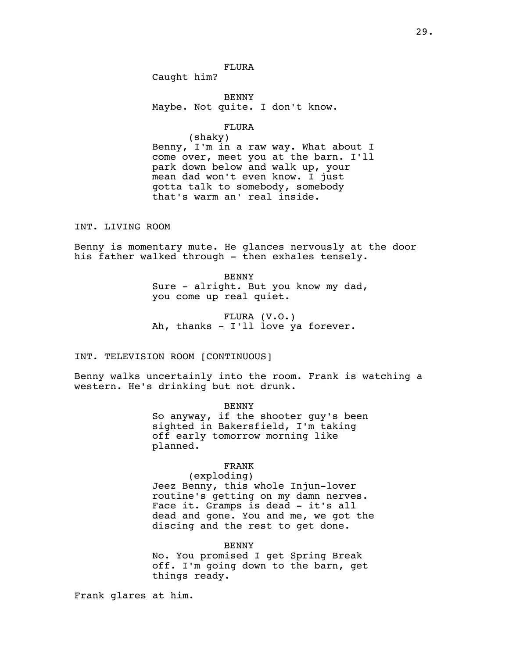FLURA

Caught him?

BENNY Maybe. Not quite. I don't know.

# FLURA

(shaky) Benny, I'm in a raw way. What about I come over, meet you at the barn. I'll park down below and walk up, your mean dad won't even know. I just gotta talk to somebody, somebody that's warm an' real inside.

# INT. LIVING ROOM

Benny is momentary mute. He glances nervously at the door his father walked through - then exhales tensely.

> BENNY Sure - alright. But you know my dad, you come up real quiet.

FLURA (V.O.) Ah, thanks - I'll love ya forever.

# INT. TELEVISION ROOM [CONTINUOUS]

Benny walks uncertainly into the room. Frank is watching a western. He's drinking but not drunk.

### BENNY

So anyway, if the shooter guy's been sighted in Bakersfield, I'm taking off early tomorrow morning like planned.

# FRANK

(exploding) Jeez Benny, this whole Injun-lover routine's getting on my damn nerves. Face it. Gramps is dead - it's all dead and gone. You and me, we got the discing and the rest to get done.

#### BENNY

No. You promised I get Spring Break off. I'm going down to the barn, get things ready.

Frank glares at him.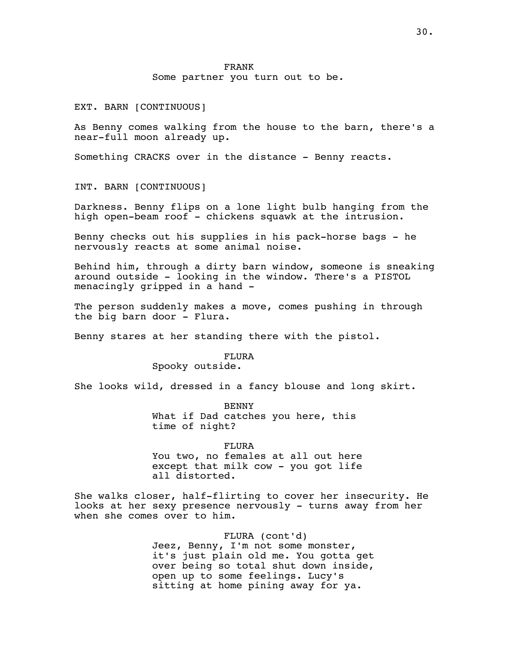Some partner you turn out to be.

EXT. BARN [CONTINUOUS]

As Benny comes walking from the house to the barn, there's a near-full moon already up.

Something CRACKS over in the distance - Benny reacts.

INT. BARN [CONTINUOUS]

Darkness. Benny flips on a lone light bulb hanging from the high open-beam roof - chickens squawk at the intrusion.

Benny checks out his supplies in his pack-horse bags - he nervously reacts at some animal noise.

Behind him, through a dirty barn window, someone is sneaking around outside - looking in the window. There's a PISTOL menacingly gripped in a hand -

The person suddenly makes a move, comes pushing in through the big barn door - Flura.

Benny stares at her standing there with the pistol.

FLURA Spooky outside.

She looks wild, dressed in a fancy blouse and long skirt.

BENNY What if Dad catches you here, this time of night?

FLURA You two, no females at all out here except that milk cow - you got life all distorted.

She walks closer, half-flirting to cover her insecurity. He looks at her sexy presence nervously - turns away from her when she comes over to him.

> FLURA (cont'd) Jeez, Benny, I'm not some monster, it's just plain old me. You gotta get over being so total shut down inside, open up to some feelings. Lucy's sitting at home pining away for ya.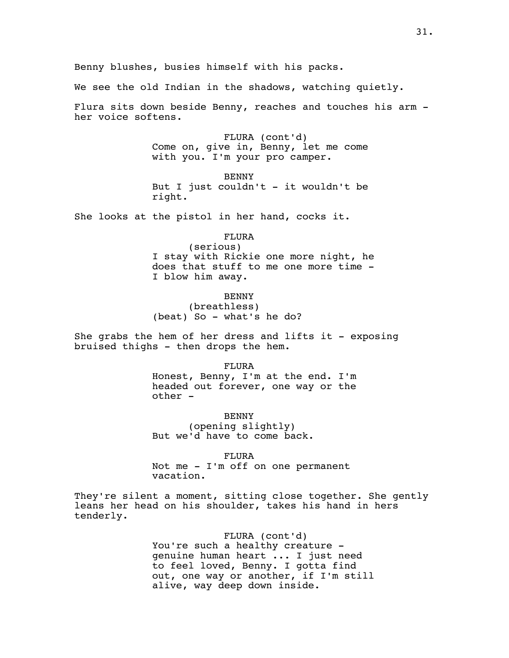We see the old Indian in the shadows, watching quietly.

Flura sits down beside Benny, reaches and touches his arm her voice softens.

> FLURA (cont'd) Come on, give in, Benny, let me come with you. I'm your pro camper.

> BENNY But I just couldn't - it wouldn't be right.

She looks at the pistol in her hand, cocks it.

# FLURA

(serious) I stay with Rickie one more night, he does that stuff to me one more time - I blow him away.

BENNY

(breathless) (beat) So - what's he do?

She grabs the hem of her dress and lifts it - exposing bruised thighs - then drops the hem.

FLURA

Honest, Benny, I'm at the end. I'm headed out forever, one way or the other -

BENNY (opening slightly) But we'd have to come back.

FLURA Not me - I'm off on one permanent vacation.

They're silent a moment, sitting close together. She gently leans her head on his shoulder, takes his hand in hers tenderly.

> FLURA (cont'd) You're such a healthy creature genuine human heart ... I just need to feel loved, Benny. I gotta find out, one way or another, if I'm still alive, way deep down inside.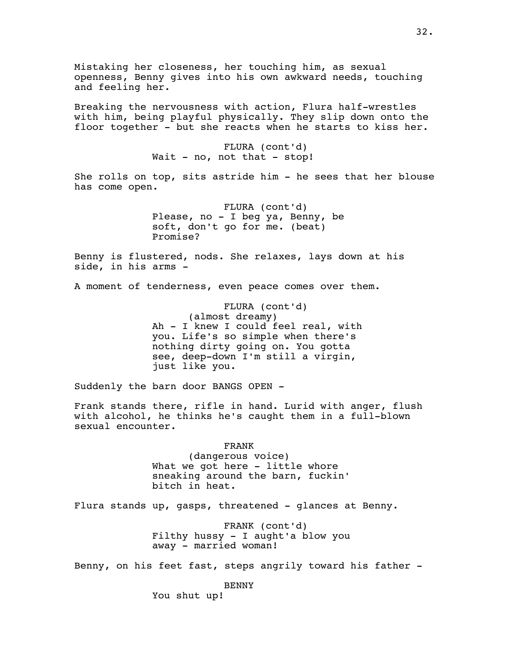Mistaking her closeness, her touching him, as sexual openness, Benny gives into his own awkward needs, touching and feeling her. Breaking the nervousness with action, Flura half-wrestles with him, being playful physically. They slip down onto the floor together - but she reacts when he starts to kiss her. FLURA (cont'd) Wait - no, not that - stop! She rolls on top, sits astride him - he sees that her blouse has come open. FLURA (cont'd) Please, no - I beg ya, Benny, be soft, don't go for me. (beat) Promise? Benny is flustered, nods. She relaxes, lays down at his side, in his arms - A moment of tenderness, even peace comes over them. FLURA (cont'd) (almost dreamy) Ah - I knew I could feel real, with you. Life's so simple when there's nothing dirty going on. You gotta see, deep-down I'm still a virgin, just like you. Suddenly the barn door BANGS OPEN - Frank stands there, rifle in hand. Lurid with anger, flush with alcohol, he thinks he's caught them in a full-blown sexual encounter. FRANK (dangerous voice) What we got here - little whore sneaking around the barn, fuckin' bitch in heat. Flura stands up, gasps, threatened - glances at Benny. FRANK (cont'd) Filthy hussy - I aught'a blow you away - married woman! Benny, on his feet fast, steps angrily toward his father - BENNY

You shut up!